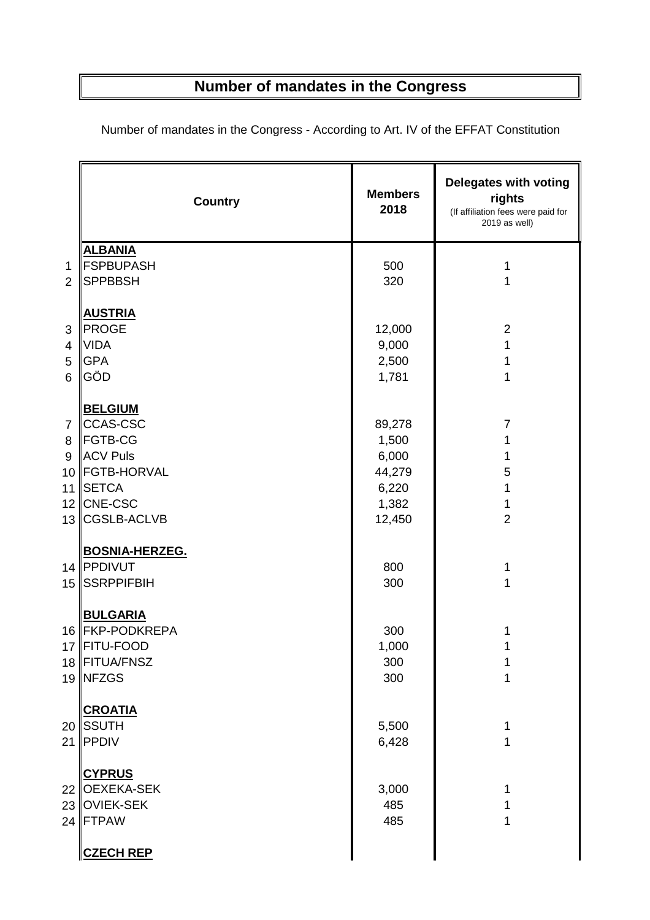## **Number of mandates in the Congress**

|                                      | <b>Country</b>                                                                                                                        | <b>Members</b><br>2018                                         | Delegates with voting<br>rights<br>(If affiliation fees were paid for<br>2019 as well) |
|--------------------------------------|---------------------------------------------------------------------------------------------------------------------------------------|----------------------------------------------------------------|----------------------------------------------------------------------------------------|
| 1<br>$\overline{2}$                  | <b>ALBANIA</b><br><b>FSPBUPASH</b><br><b>SPPBBSH</b>                                                                                  | 500<br>320                                                     | 1<br>1                                                                                 |
| 3<br>4<br>5<br>6                     | <b>AUSTRIA</b><br>PROGE<br><b>VIDA</b><br><b>GPA</b><br>GÖD                                                                           | 12,000<br>9,000<br>2,500<br>1,781                              | $\overline{2}$<br>1<br>1<br>1                                                          |
| $\overline{7}$<br>8<br>9<br>10<br>11 | <b>BELGIUM</b><br>CCAS-CSC<br><b>FGTB-CG</b><br><b>ACV Puls</b><br><b>FGTB-HORVAL</b><br><b>SETCA</b><br>12 CNE-CSC<br>13 CGSLB-ACLVB | 89,278<br>1,500<br>6,000<br>44,279<br>6,220<br>1,382<br>12,450 | $\overline{7}$<br>1<br>5<br>1<br>1<br>$\overline{2}$                                   |
| 15 <sub>15</sub>                     | <b>BOSNIA-HERZEG.</b><br>14 PPDIVUT<br><b>SSRPPIFBIH</b>                                                                              | 800<br>300                                                     | 1<br>1                                                                                 |
|                                      | <b>BULGARIA</b><br>16 FKP-PODKREPA<br>17   FITU-FOOD<br>18 FITUA/FNSZ<br>19 NFZGS                                                     | 300<br>1,000<br>300<br>300                                     |                                                                                        |
|                                      | <b>CROATIA</b><br>20 ∥SSUTH<br>21 PPDIV                                                                                               | 5,500<br>6,428                                                 |                                                                                        |
|                                      | <b>CYPRUS</b><br>22 OEXEKA-SEK<br>23 OVIEK-SEK<br>24 FTPAW                                                                            | 3,000<br>485<br>485                                            |                                                                                        |
|                                      | <b>CZECH REP</b>                                                                                                                      |                                                                |                                                                                        |

Number of mandates in the Congress - According to Art. IV of the EFFAT Constitution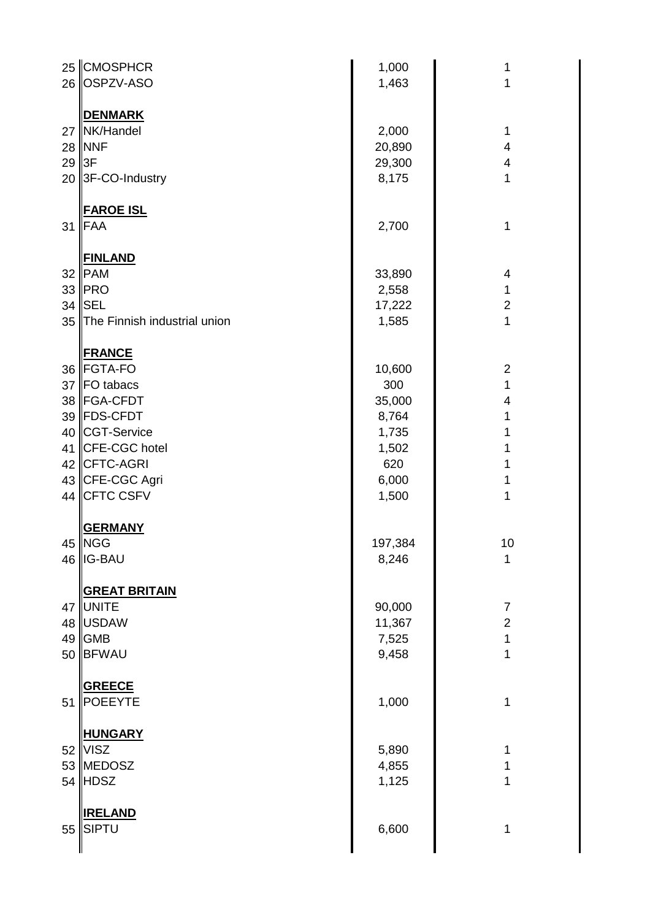|    | 25 CMOSPHCR                  | 1,000   | 1                        |
|----|------------------------------|---------|--------------------------|
| 26 | OSPZV-ASO                    | 1,463   | 1                        |
|    |                              |         |                          |
|    | <b>DENMARK</b>               |         |                          |
|    | 27 NK/Handel                 | 2,000   | 1                        |
|    | <b>28   NNF</b>              | 20,890  | 4                        |
| 29 | 3F                           | 29,300  | 4                        |
| 20 | 3F-CO-Industry               | 8,175   | 1                        |
|    |                              |         |                          |
|    | <b>FAROE ISL</b>             |         |                          |
| 31 | FAA                          | 2,700   | 1                        |
|    |                              |         |                          |
|    | <b>FINLAND</b>               |         |                          |
|    | 32  PAM                      | 33,890  | $\overline{\mathcal{A}}$ |
|    | 33   PRO                     | 2,558   | 1                        |
|    | 34 <b>ISEL</b>               |         | $\overline{2}$           |
|    |                              | 17,222  |                          |
| 35 | The Finnish industrial union | 1,585   | 1                        |
|    |                              |         |                          |
|    | <b>FRANCE</b>                |         |                          |
|    | 36 FGTA-FO                   | 10,600  | $\overline{2}$           |
|    | 37 FO tabacs                 | 300     | $\mathbf{1}$             |
|    | 38   FGA-CFDT                | 35,000  | $\overline{\mathbf{4}}$  |
|    | 39 FDS-CFDT                  | 8,764   | 1                        |
|    | 40 CGT-Service               | 1,735   | 1                        |
| 41 | CFE-CGC hotel                | 1,502   | 1                        |
|    | 42 CFTC-AGRI                 | 620     | 1                        |
|    | 43 CFE-CGC Agri              | 6,000   | 1                        |
|    | 44 CFTC CSFV                 | 1,500   | 1                        |
|    |                              |         |                          |
|    | <b>GERMANY</b>               |         |                          |
|    | 45   NGG                     | 197,384 | 10                       |
|    | 46   IG-BAU                  | 8,246   | 1                        |
|    |                              |         |                          |
|    | <b>GREAT BRITAIN</b>         |         |                          |
| 47 | <b>UNITE</b>                 | 90,000  | $\overline{7}$           |
|    | 48  USDAW                    | 11,367  | $\overline{2}$           |
| 49 | <b>GMB</b>                   | 7,525   | $\mathbf 1$              |
| 50 | <b>BFWAU</b>                 | 9,458   | 1                        |
|    |                              |         |                          |
|    | <b>GREECE</b>                |         |                          |
| 51 | <b>POEEYTE</b>               | 1,000   | 1                        |
|    |                              |         |                          |
|    | <b>HUNGARY</b>               |         |                          |
|    | $52$ VISZ                    |         | 1                        |
|    |                              | 5,890   |                          |
|    | 53 MEDOSZ                    | 4,855   | 1                        |
|    | $54$  HDSZ                   | 1,125   | 1                        |
|    |                              |         |                          |
|    | <b>IRELAND</b>               |         |                          |
| 55 | <b>SIPTU</b>                 | 6,600   | 1                        |
|    |                              |         |                          |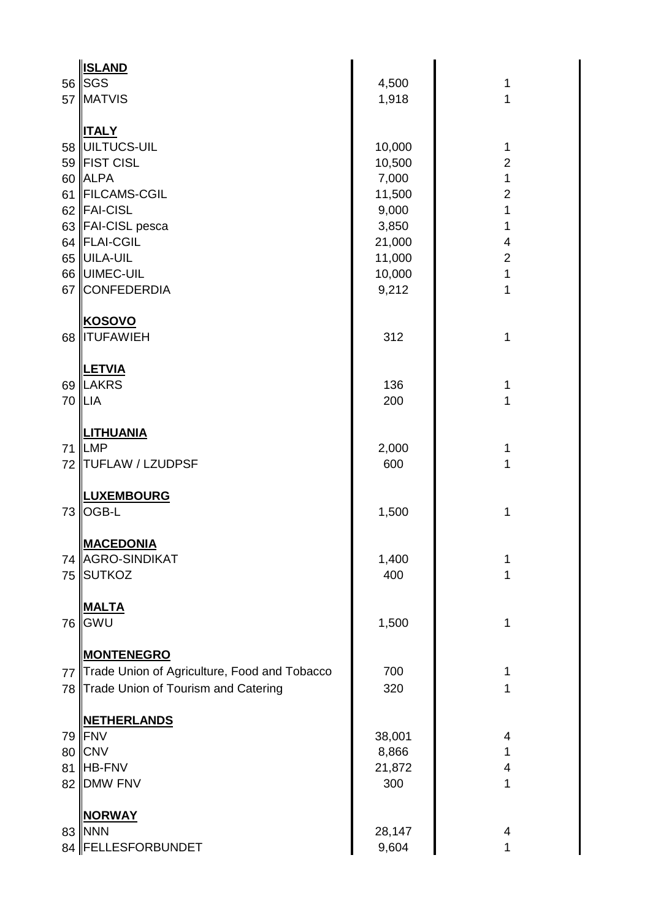|                      | <b>ISLAND</b>                                                                                                                                                                         |                                                                                              |                                                                                                                                                          |
|----------------------|---------------------------------------------------------------------------------------------------------------------------------------------------------------------------------------|----------------------------------------------------------------------------------------------|----------------------------------------------------------------------------------------------------------------------------------------------------------|
|                      | 56 SGS                                                                                                                                                                                | 4,500                                                                                        | 1                                                                                                                                                        |
|                      | 57 MATVIS                                                                                                                                                                             | 1,918                                                                                        | $\mathbf{1}$                                                                                                                                             |
| 67                   | <b>ITALY</b><br>58 UILTUCS-UIL<br>59 FIST CISL<br>60 ALPA<br>61 FILCAMS-CGIL<br>62 FAI-CISL<br>63 FAI-CISL pesca<br>64 FLAI-CGIL<br>65 UILA-UIL<br>66 UIMEC-UIL<br><b>CONFEDERDIA</b> | 10,000<br>10,500<br>7,000<br>11,500<br>9,000<br>3,850<br>21,000<br>11,000<br>10,000<br>9,212 | 1<br>$\overline{2}$<br>$\mathbf 1$<br>$\overline{2}$<br>$\mathbf{1}$<br>1<br>$\overline{\mathbf{4}}$<br>$\overline{2}$<br>$\mathbf{1}$<br>$\overline{1}$ |
| 68                   | <b>KOSOVO</b><br><b>ITUFAWIEH</b>                                                                                                                                                     | 312                                                                                          | 1                                                                                                                                                        |
|                      | <b>LETVIA</b><br>69  LAKRS<br>70  LIA                                                                                                                                                 | 136<br>200                                                                                   | 1<br>$\mathbf{1}$                                                                                                                                        |
| 72                   | <b>LITHUANIA</b><br>71 ILMP<br><b>TUFLAW / LZUDPSF</b>                                                                                                                                | 2,000<br>600                                                                                 | 1<br>1                                                                                                                                                   |
| 73                   | <b>LUXEMBOURG</b><br>OGB-L                                                                                                                                                            | 1,500                                                                                        | $\mathbf{1}$                                                                                                                                             |
| 75                   | <b>MACEDONIA</b><br>74   AGRO-SINDIKAT<br><b>SUTKOZ</b>                                                                                                                               | 1,400<br>400                                                                                 | 1<br>1                                                                                                                                                   |
| 76                   | <b>MALTA</b><br>GWU                                                                                                                                                                   | 1,500                                                                                        | $\mathbf 1$                                                                                                                                              |
| 77<br>78             | <b>MONTENEGRO</b><br>Trade Union of Agriculture, Food and Tobacco<br>Trade Union of Tourism and Catering                                                                              | 700<br>320                                                                                   | $\mathbf 1$<br>1                                                                                                                                         |
| 79<br>80<br>81<br>82 | <b>NETHERLANDS</b><br><b>IFNV</b><br><b>CNV</b><br><b>HB-FNV</b><br><b>DMW FNV</b>                                                                                                    | 38,001<br>8,866<br>21,872<br>300                                                             | 4<br>1<br>$\overline{4}$<br>$\mathbf 1$                                                                                                                  |
|                      | <b>NORWAY</b><br>83   NNN<br>84  FELLESFORBUNDET                                                                                                                                      | 28,147<br>9,604                                                                              | 4<br>1                                                                                                                                                   |